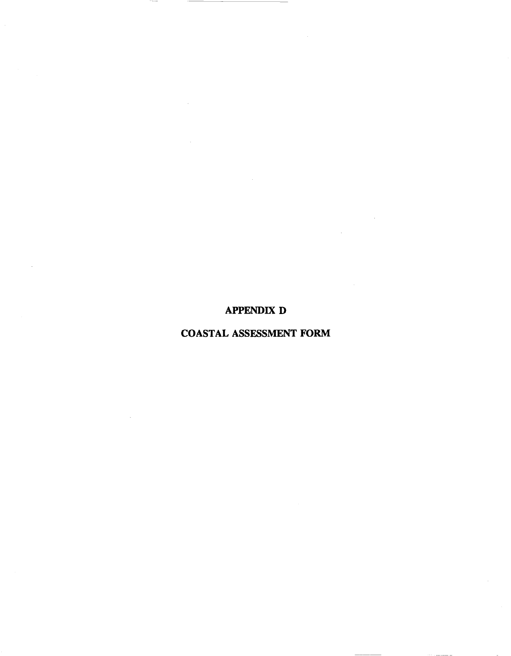## APPENDIX D

# COASTAL ASSESSMENT FORM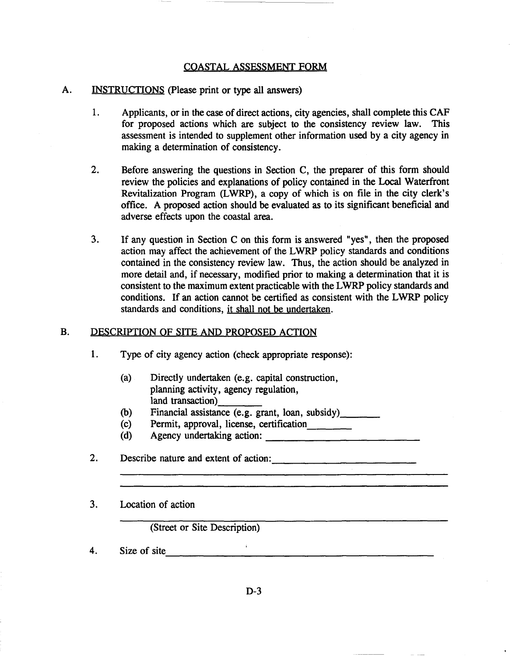## COASTAL ASSESSMENT FORM

### A. INSTRUCTIONS (please print or type all answers)

- 1. Applicants, or in the case of direct actions, city agencies, shall complete this CAF for proposed actions which are subject to the consistency review law. This assessment is intended to supplement other information used by a city agency in making a determination of consistency.
- 2. Before answering the questions in Section C, the preparer of this form should review the policies and explanations of policy contained in the Local Waterfront Revitalization Program (LWRP), a copy of which is on file in the city clerk's office. A proposed action should be evaluated as to its significant beneficial and adverse effects upon the coastal area.
- 3. If any question in Section C on this form is answered "yes", then the proposed action may affect the achievement of the LWRP policy standards and conditions contained in the consistency review law. Thus, the action should be analyzed in more detail and, if necessary, modified prior to making a determination that it is consistent to the maximum extent practicable with the LWRP policy standards and conditions. If an action cannot be certified as consistent with the LWRP policy standards and conditions, it shall not be undertaken.

#### B. DESCRIPTION OF SITE AND PROPOSED ACTION

- 1. Type of city agency action (check appropriate response):
	- (a) Directly undertaken (e.g. capital construction, planning activity, agency regulation, land transaction)
	- (b) Financial assistance (e.g. grant, loan, subsidy) \_
	- (c) Permit, approval, license, certification \_
	- (d) Agency undertaking action: \_
- 2. Describe nature and extent of action:

3. Location of action

(Street or Site Description)

4. Size of site $\overline{\qquad \qquad }$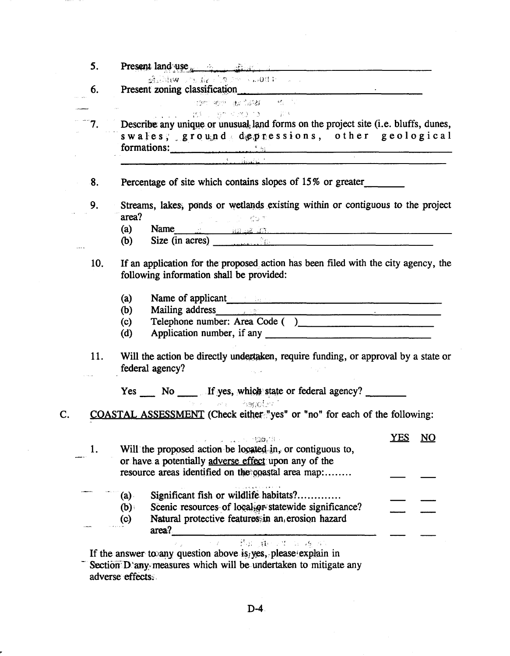| 5.                                                                                                                                                                                                                                                                                                                                                                                                                                                                     | <b>Present land use</b> $\frac{1}{2}$ $\frac{1}{2}$ $\frac{1}{2}$ $\frac{1}{2}$ $\frac{1}{2}$ $\frac{1}{2}$ $\frac{1}{2}$ $\frac{1}{2}$ $\frac{1}{2}$ $\frac{1}{2}$ $\frac{1}{2}$ $\frac{1}{2}$ $\frac{1}{2}$ $\frac{1}{2}$ $\frac{1}{2}$ $\frac{1}{2}$ $\frac{1}{2}$ $\frac{1}{2}$ $\frac{1}{2}$ $\frac{1}{2}$ $\$ |            |    |  |
|------------------------------------------------------------------------------------------------------------------------------------------------------------------------------------------------------------------------------------------------------------------------------------------------------------------------------------------------------------------------------------------------------------------------------------------------------------------------|---------------------------------------------------------------------------------------------------------------------------------------------------------------------------------------------------------------------------------------------------------------------------------------------------------------------|------------|----|--|
| 6.                                                                                                                                                                                                                                                                                                                                                                                                                                                                     | stablew as he come with an<br>Present zoning classification                                                                                                                                                                                                                                                         |            |    |  |
|                                                                                                                                                                                                                                                                                                                                                                                                                                                                        | - The Matchester Materials of the Second Second Second Second Second Second Second Second Second Second Second                                                                                                                                                                                                      |            |    |  |
| $\label{eq:3.1} \begin{aligned} \textbf{F} & = \textbf{F} \left( \textbf{F} \right) \textbf{F} \left( \textbf{F} \right) \textbf{F} \left( \textbf{F} \right) \textbf{F} \left( \textbf{F} \right) \textbf{F} \left( \textbf{F} \right) \textbf{F} \left( \textbf{F} \right) \textbf{F} \left( \textbf{F} \right) \textbf{F} \left( \textbf{F} \right) \textbf{F} \left( \textbf{F} \right) \textbf{F} \left( \textbf{F} \right) \textbf{F} \left( \textbf{F} \right)$ | <b>CONTRACTOR</b> STATE AND TO A STATE AND TO A REPORT OF THE RESEARCH                                                                                                                                                                                                                                              |            |    |  |
|                                                                                                                                                                                                                                                                                                                                                                                                                                                                        | 7. Describe any unique or unusual land forms on the project site (i.e. bluffs, dunes,<br>swales; ground depressions, other geological<br>formations:                                                                                                                                                                |            |    |  |
|                                                                                                                                                                                                                                                                                                                                                                                                                                                                        |                                                                                                                                                                                                                                                                                                                     |            |    |  |
| 8.                                                                                                                                                                                                                                                                                                                                                                                                                                                                     | Percentage of site which contains slopes of 15% or greater_______________________                                                                                                                                                                                                                                   |            |    |  |
| 9.                                                                                                                                                                                                                                                                                                                                                                                                                                                                     | Streams, lakes, ponds or wetlands existing within or contiguous to the project                                                                                                                                                                                                                                      |            |    |  |
|                                                                                                                                                                                                                                                                                                                                                                                                                                                                        | area?<br>$\omega = \omega = 1$ , $\omega = 1/2$                                                                                                                                                                                                                                                                     |            |    |  |
|                                                                                                                                                                                                                                                                                                                                                                                                                                                                        | Name<br>Size (in acres)<br>(a)                                                                                                                                                                                                                                                                                      |            |    |  |
|                                                                                                                                                                                                                                                                                                                                                                                                                                                                        | (b)                                                                                                                                                                                                                                                                                                                 |            |    |  |
| 10.                                                                                                                                                                                                                                                                                                                                                                                                                                                                    | If an application for the proposed action has been filed with the city agency, the<br>following information shall be provided:                                                                                                                                                                                      |            |    |  |
|                                                                                                                                                                                                                                                                                                                                                                                                                                                                        | Name of applicant and the contract of the second second second second second second second second second second second second second second second second second second second second second second second second second secon<br>(a)                                                                               |            |    |  |
|                                                                                                                                                                                                                                                                                                                                                                                                                                                                        | Mailing address.<br>(b)                                                                                                                                                                                                                                                                                             |            |    |  |
|                                                                                                                                                                                                                                                                                                                                                                                                                                                                        | Telephone number: Area Code ()<br>(c)                                                                                                                                                                                                                                                                               |            |    |  |
|                                                                                                                                                                                                                                                                                                                                                                                                                                                                        | (d)                                                                                                                                                                                                                                                                                                                 |            |    |  |
| 11.                                                                                                                                                                                                                                                                                                                                                                                                                                                                    | Will the action be directly undertaken, require funding, or approval by a state or<br>federal agency?                                                                                                                                                                                                               |            |    |  |
|                                                                                                                                                                                                                                                                                                                                                                                                                                                                        | Yes _____ No _____ If yes, which state or federal agency? _______<br>r e en Aspolan                                                                                                                                                                                                                                 |            |    |  |
|                                                                                                                                                                                                                                                                                                                                                                                                                                                                        | COASTAL ASSESSMENT (Check either "yes" or "no" for each of the following:                                                                                                                                                                                                                                           |            |    |  |
| 1.                                                                                                                                                                                                                                                                                                                                                                                                                                                                     | . 199.AB<br>Will the proposed action be logated in, or contiguous to,<br>or have a potentially adverse effect upon any of the                                                                                                                                                                                       | <b>YES</b> | NO |  |
|                                                                                                                                                                                                                                                                                                                                                                                                                                                                        | resource areas identified on the coastal area map:                                                                                                                                                                                                                                                                  |            |    |  |
|                                                                                                                                                                                                                                                                                                                                                                                                                                                                        | Significant fish or wildlife habitats?<br>(a)                                                                                                                                                                                                                                                                       |            |    |  |
|                                                                                                                                                                                                                                                                                                                                                                                                                                                                        | Scenic resources of local or statewide significance?<br>(b)                                                                                                                                                                                                                                                         |            |    |  |
|                                                                                                                                                                                                                                                                                                                                                                                                                                                                        | Natural protective features in an erosion hazard<br>$\left( \circ \right)$<br>area?                                                                                                                                                                                                                                 |            |    |  |
|                                                                                                                                                                                                                                                                                                                                                                                                                                                                        | 载致 麻心性 口语 国<br>If the answer to any question above is yes, please explain in                                                                                                                                                                                                                                        |            |    |  |
|                                                                                                                                                                                                                                                                                                                                                                                                                                                                        | Section D'any measures which will be undertaken to mitigate any                                                                                                                                                                                                                                                     |            |    |  |
|                                                                                                                                                                                                                                                                                                                                                                                                                                                                        | adverse effects.                                                                                                                                                                                                                                                                                                    |            |    |  |

 $\bar{\mathcal{A}}$ 

 $D-4$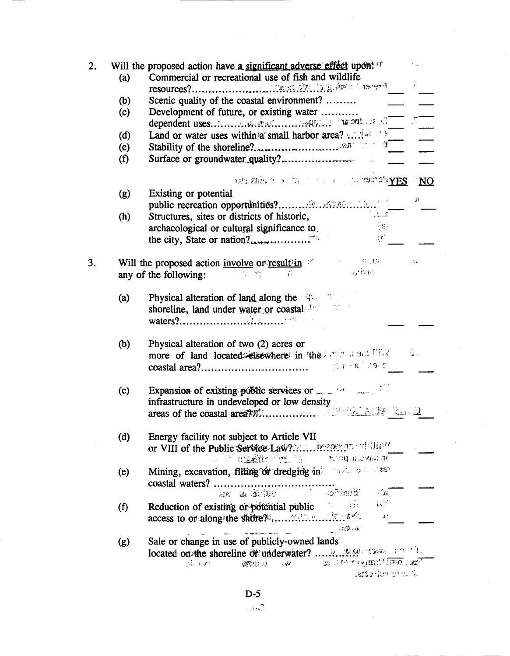| 2. | (a) | Will the proposed action have a significant adverse effect upon: <sup>17</sup><br>Commercial or recreational use of fish and wildlife                                                                                          |
|----|-----|--------------------------------------------------------------------------------------------------------------------------------------------------------------------------------------------------------------------------------|
|    |     |                                                                                                                                                                                                                                |
|    | (b) | Scenic quality of the coastal environment?                                                                                                                                                                                     |
|    | (c) | Development of future, or existing water                                                                                                                                                                                       |
|    |     |                                                                                                                                                                                                                                |
|    | (d) | Land or water uses within a small harbor area? $\ldots$                                                                                                                                                                        |
|    | (e) | Stability of the shoreline?                                                                                                                                                                                                    |
|    | (f) |                                                                                                                                                                                                                                |
|    |     | $10\%$ and $2\%$ and $2\%$ and $2\%$ and $2\%$ and $2\%$<br>$NO$                                                                                                                                                               |
|    | (g) | Existing or potential<br>D.                                                                                                                                                                                                    |
|    |     |                                                                                                                                                                                                                                |
|    | (h) | $\sim 100$ $\rm{g}$<br>Structures, sites or districts of historic,                                                                                                                                                             |
|    |     | $\mathcal{L}(\mathcal{L})$<br>archaeological or cultural significance to<br>$\{C_{\alpha}\}$                                                                                                                                   |
|    |     | the city, State or nation?                                                                                                                                                                                                     |
| 3. |     | $\sim 100$ , TR.<br>Will the proposed action involve or result in $\mathbb{Z}$<br>$\sim$ 2 $\pm$                                                                                                                               |
|    |     | ar hao.<br>any of the following:                                                                                                                                                                                               |
|    |     |                                                                                                                                                                                                                                |
|    | (a) | Physical alteration of land along the state of the state of the state of the state of the state of the state of the state of the state of the state of the state of the state of the state of the state of the state of the st |
|    |     | shoreline, land under water or coastal diversity                                                                                                                                                                               |
|    |     |                                                                                                                                                                                                                                |
|    |     |                                                                                                                                                                                                                                |
|    | (b) | Physical alteration of two (2) acres or                                                                                                                                                                                        |
|    |     | more of land located disembere in the antica submanifold<br>interest inglights                                                                                                                                                 |
|    |     | $\text{coastal area?} \dots \dots \dots \dots \dots \dots \dots \dots \dots$                                                                                                                                                   |
|    | (c) | Expansion of existing public services or with the same state                                                                                                                                                                   |
|    |     | infrastructure in undeveloped or low density                                                                                                                                                                                   |
|    |     |                                                                                                                                                                                                                                |
|    |     |                                                                                                                                                                                                                                |
|    | (d) | Energy facility not subject to Article VII                                                                                                                                                                                     |
|    |     |                                                                                                                                                                                                                                |
|    |     | วะวงยุเม <i>ะเพลร์เล</i> ยิ<br>a an <b>clasif</b> e the Part                                                                                                                                                                   |
|    | (e) | Mining, excavation, filling or dredging in the set of the star                                                                                                                                                                 |
|    |     | coastal waters?                                                                                                                                                                                                                |
|    |     | Similas in the state as an<br>$\mathbb{R}^{\mathbb{Z}}$<br>$\Omega^{\rm SM}$                                                                                                                                                   |
|    | (f) | Reduction of existing or potential public<br>$\mathbf{L}^{k,1}$                                                                                                                                                                |
|    |     | $1.03 - 0.1$                                                                                                                                                                                                                   |
|    |     |                                                                                                                                                                                                                                |
|    | (g) | Sale or change in use of publicly-owned lands                                                                                                                                                                                  |
|    |     | Sounder the property of the County of the<br>on more<br>$g(\hat{W}^{\text{H}}(t),\omega)$<br>$\mathbf{W}$                                                                                                                      |
|    |     | Shere mothers.                                                                                                                                                                                                                 |

 $\sim$ 

 $\ddot{\phantom{1}}$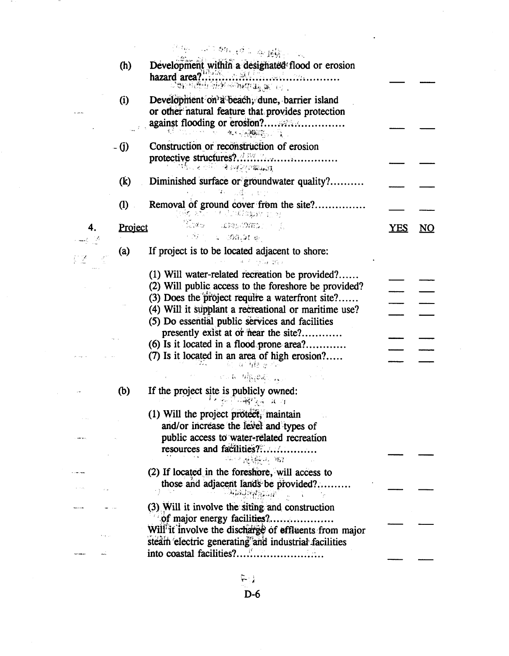|                                             |                   | 第二回1.890, (6) 在最好的人                                                                                                                                       |            |                         |
|---------------------------------------------|-------------------|-----------------------------------------------------------------------------------------------------------------------------------------------------------|------------|-------------------------|
|                                             | (h)               | <u>ng araw ing iku sebagai si sebagai sebagai sebagai sebagai sebagai sebagai sebagai sebagai sebagai sebagai seba</u>                                    |            |                         |
|                                             | (i)               | Development on a beach, dune, barrier island<br>or other natural feature that provides protection<br><b>大、只像深山 食</b>                                      |            |                         |
|                                             | - (j)             | Construction or reconstruction of erosion<br>ිතියෙන් ව <sup>ිට</sup> ් මාහුදිද්ය <b>යෙ.</b> අ                                                             |            |                         |
|                                             | $\dot{R}$         | Diminished surface or groundwater quality?<br>그는 그 책을 보였다. 화장                                                                                             |            |                         |
|                                             | $\left( 1\right)$ | Removal of ground cover from the site?<br>ato a Julian ta                                                                                                 |            |                         |
| 4.                                          | Project           | (Xmo angliomi, J<br>・カニュ 30年31日                                                                                                                           | <b>YES</b> | $\underline{\text{NO}}$ |
|                                             | (a)               | If project is to be located adjacent to shore:<br>$4.7 - 2.74 - 29.3$                                                                                     |            |                         |
|                                             |                   | (1) Will water-related recreation be provided?<br>(2) Will public access to the foreshore be provided?<br>(3) Does the project require a waterfront site? |            |                         |
|                                             |                   | (4) Will it supplant a recreational or maritime use?<br>(5) Do essential public services and facilities                                                   |            |                         |
|                                             |                   | presently exist at or near the site?<br>(6) Is it located in a flood prone area?<br>(7) Is it located in an area of high erosion?<br>ian da Margeria      |            |                         |
|                                             | (b)               | and the theory of the<br>If the project site is publicly owned:                                                                                           |            |                         |
|                                             |                   | 「不安日福物」 スコ<br>(1) Will the project protect, maintain<br>and/or increase the level and types of                                                            |            |                         |
|                                             |                   | public access to water-related recreation<br>resources and facilities?<br>以不能接头 167                                                                       |            |                         |
| <b>Communist</b>                            |                   | (2) If located in the foreshore, will access to                                                                                                           |            |                         |
| $\mathbf{r} = \mathbf{r} \times \mathbf{r}$ |                   | those and adjacent lands be provided?<br>$\mathcal{A} = \mathcal{A} = \mathcal{A}$                                                                        |            |                         |
|                                             |                   | (3) Will it involve the siting and construction<br>of major energy facilities?.<br>Will it involve the discharge of effluents from major                  |            |                         |
|                                             |                   | steam electric generating and industrial facilities                                                                                                       |            |                         |

 $\label{eq:2.1} \frac{1}{2} \sum_{i=1}^n \frac{1}{2} \sum_{j=1}^n \frac{1}{2} \sum_{j=1}^n \frac{1}{2} \sum_{j=1}^n \frac{1}{2} \sum_{j=1}^n \frac{1}{2} \sum_{j=1}^n \frac{1}{2} \sum_{j=1}^n \frac{1}{2} \sum_{j=1}^n \frac{1}{2} \sum_{j=1}^n \frac{1}{2} \sum_{j=1}^n \frac{1}{2} \sum_{j=1}^n \frac{1}{2} \sum_{j=1}^n \frac{1}{2} \sum_{j=1}^n \frac{$ 

- 20

 $\frac{E_{\text{max}}}{D}$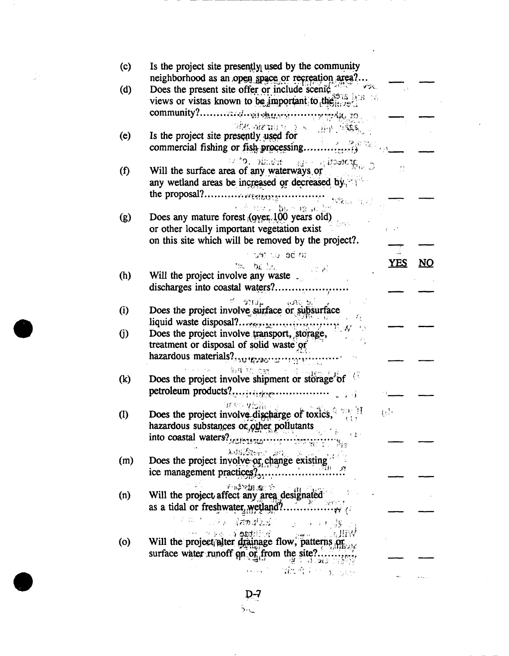| (c)               | Is the project site presently used by the community                                                                                                                                               |                        |    |
|-------------------|---------------------------------------------------------------------------------------------------------------------------------------------------------------------------------------------------|------------------------|----|
| (d)               | neighborhood as an open space or recreation area?<br>Does the present site offer or include scenic $\frac{1}{2}$ is very views or vistas known to be important to the series                      |                        |    |
|                   |                                                                                                                                                                                                   |                        |    |
| (e)               | ोडेस जोटाभा छ । ३ -६ - जिक्ने पश्चिम् <sub>प</sub><br>Is the project site presently used for                                                                                                      |                        |    |
| $\left( f\right)$ | $V = \frac{1}{2}$ of $\frac{1}{2}$ illustration will the surface area of any waterways or<br>any wetland areas be increased or decreased by.                                                      |                        |    |
| (g)               | tatkin maj<br>รธนาม โ <b>อ</b> มากายขาวอาธิก<br>Does any mature forest (over 100 years old)<br>or other locally important vegetation exist<br>on this site which will be removed by the project?. |                        |    |
|                   | an bellow tea<br>to be be                                                                                                                                                                         | <b>YES</b>             | NO |
| (h)               | Will the project involve any waste                                                                                                                                                                |                        |    |
| (i)               | Does the project involve surface or subsurface                                                                                                                                                    |                        |    |
| $\rm (j)$         | Does the project involve transport, storage,<br>treatment or disposal of solid waste or                                                                                                           |                        |    |
|                   |                                                                                                                                                                                                   |                        |    |
| (k)               | Does the project involve shipment or storage of                                                                                                                                                   |                        |    |
| $\left( 1\right)$ | $\mathbf{W}$ on $\mathbf{V}$ is $\mathbf{\hat{n}}$ .<br>Does the project involve discharge of toxics,<br>hazardous substances or other pollutants<br>$\sim 31$                                    | $\left\{ \tau\right\}$ |    |
|                   | <b>NEW YOU BEST</b>                                                                                                                                                                               |                        |    |
| (m)               | LOSEN 200 10 19.<br>Does the project involve or change existing<br>ice management practices?                                                                                                      |                        |    |
| (n)               | 不适应的面向的。<br>រប <i>់អ</i> នា<br>Will the project affect any area designated<br>as a tidal or freshwater wetland?                                                                                   |                        |    |
|                   | a da tana da da da ka<br>化三溴 美利福                                                                                                                                                                  |                        |    |
| (0)               | Will the project alter drainage flow, patterns or<br>surface water runoff on or from the site?.                                                                                                   |                        |    |
|                   | ગ્ક્ષ ઉપરાંત એક પાક<br>……" 電話など、 <sub>No.3倍</sub>                                                                                                                                                 |                        |    |

j.

 $\frac{D-7}{\sqrt{2}}$